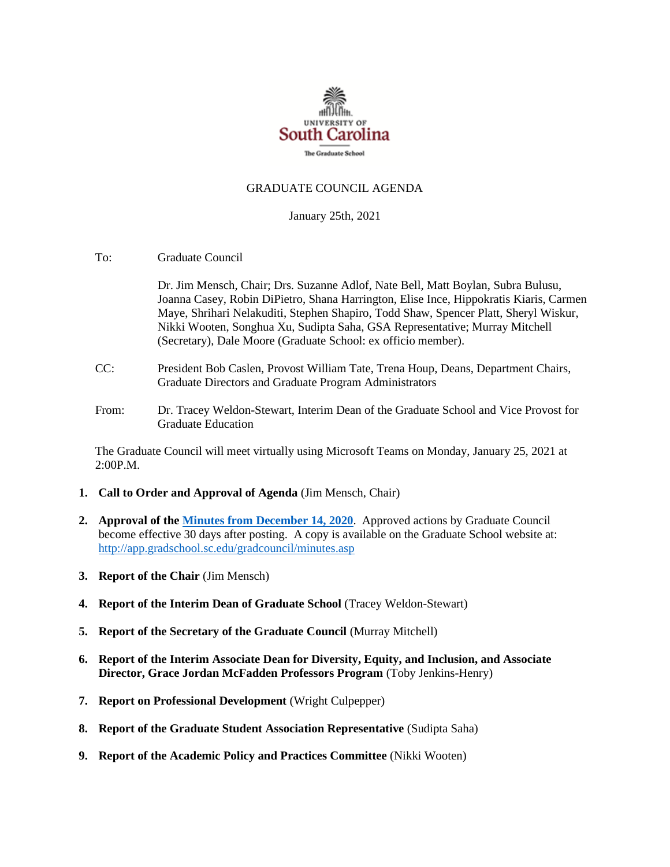

#### GRADUATE COUNCIL AGENDA

January 25th, 2021

To: Graduate Council

Dr. Jim Mensch, Chair; Drs. Suzanne Adlof, Nate Bell, Matt Boylan, Subra Bulusu, Joanna Casey, Robin DiPietro, Shana Harrington, Elise Ince, Hippokratis Kiaris, Carmen Maye, Shrihari Nelakuditi, Stephen Shapiro, Todd Shaw, Spencer Platt, Sheryl Wiskur, Nikki Wooten, Songhua Xu, Sudipta Saha, GSA Representative; Murray Mitchell (Secretary), Dale Moore (Graduate School: ex officio member).

- CC: President Bob Caslen, Provost William Tate, Trena Houp, Deans, Department Chairs, Graduate Directors and Graduate Program Administrators
- From: Dr. Tracey Weldon-Stewart, Interim Dean of the Graduate School and Vice Provost for Graduate Education

The Graduate Council will meet virtually using Microsoft Teams on Monday, January 25, 2021 at 2:00P.M.

- **1. Call to Order and Approval of Agenda** (Jim Mensch, Chair)
- **2. Approval of th[e Minutes from December 14, 2020](GCMINUTES12.14.20%20MM.pdf)**. Approved actions by Graduate Council become effective 30 days after posting. A copy is available on the Graduate School website at: <http://app.gradschool.sc.edu/gradcouncil/minutes.asp>
- **3. Report of the Chair** (Jim Mensch)
- **4. Report of the Interim Dean of Graduate School** (Tracey Weldon-Stewart)
- **5. Report of the Secretary of the Graduate Council** (Murray Mitchell)
- **6. Report of the Interim Associate Dean for Diversity, Equity, and Inclusion, and Associate Director, Grace Jordan McFadden Professors Program** (Toby Jenkins-Henry)
- **7. Report on Professional Development** (Wright Culpepper)
- **8. Report of the Graduate Student Association Representative** (Sudipta Saha)
- **9. Report of the Academic Policy and Practices Committee** (Nikki Wooten)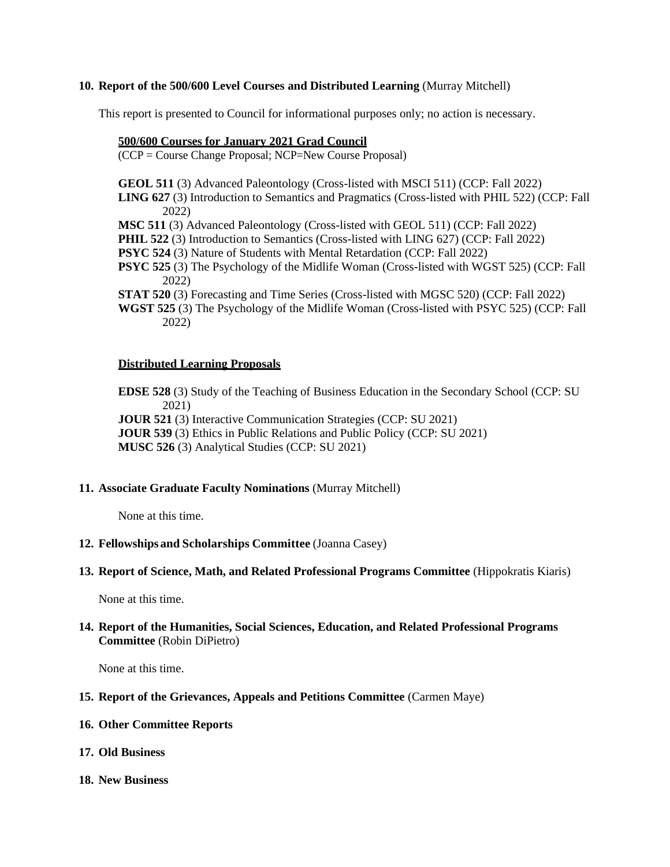#### **10. Report of the 500/600 Level Courses and Distributed Learning** (Murray Mitchell)

This report is presented to Council for informational purposes only; no action is necessary.

#### **500/600 Courses for January 2021 Grad Council**

(CCP = Course Change Proposal; NCP=New Course Proposal)

**GEOL 511** (3) Advanced Paleontology (Cross-listed with MSCI 511) (CCP: Fall 2022)

**LING 627** (3) Introduction to Semantics and Pragmatics (Cross-listed with PHIL 522) (CCP: Fall 2022)

**MSC 511** (3) Advanced Paleontology (Cross-listed with GEOL 511) (CCP: Fall 2022)

**PHIL 522** (3) Introduction to Semantics (Cross-listed with LING 627) (CCP: Fall 2022)

**PSYC 524** (3) Nature of Students with Mental Retardation (CCP: Fall 2022)

**PSYC 525** (3) The Psychology of the Midlife Woman (Cross-listed with WGST 525) (CCP: Fall 2022)

**STAT 520** (3) Forecasting and Time Series (Cross-listed with MGSC 520) (CCP: Fall 2022)

**WGST 525** (3) The Psychology of the Midlife Woman (Cross-listed with PSYC 525) (CCP: Fall 2022)

#### **Distributed Learning Proposals**

**EDSE 528** (3) Study of the Teaching of Business Education in the Secondary School (CCP: SU 2021)

**JOUR 521** (3) Interactive Communication Strategies (CCP: SU 2021)

**JOUR 539** (3) Ethics in Public Relations and Public Policy (CCP: SU 2021)

**MUSC 526** (3) Analytical Studies (CCP: SU 2021)

## **11. Associate Graduate Faculty Nominations** (Murray Mitchell)

None at this time.

#### **12. Fellowships and Scholarships Committee** (Joanna Casey)

#### **13. Report of Science, Math, and Related Professional Programs Committee** (Hippokratis Kiaris)

None at this time.

## **14. Report of the Humanities, Social Sciences, Education, and Related Professional Programs Committee** (Robin DiPietro)

None at this time.

## **15. Report of the Grievances, Appeals and Petitions Committee** (Carmen Maye)

#### **16. Other Committee Reports**

- **17. Old Business**
- **18. New Business**